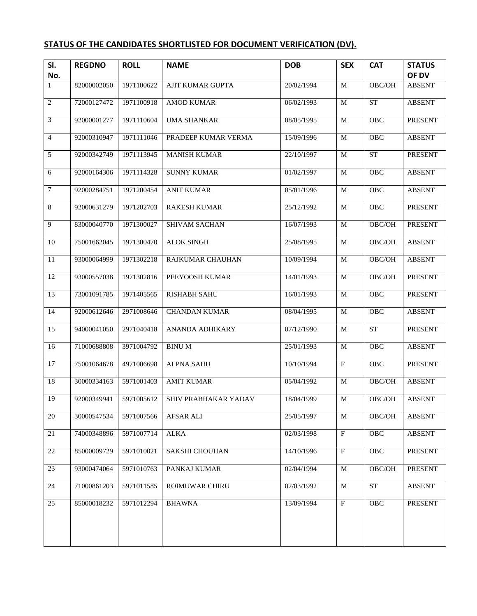## **STATUS OF THE CANDIDATES SHORTLISTED FOR DOCUMENT VERIFICATION (DV).**

| SI.                 | <b>REGDNO</b> | <b>ROLL</b> | <b>NAME</b>             | <b>DOB</b> | <b>SEX</b>              | <b>CAT</b>         | <b>STATUS</b>          |
|---------------------|---------------|-------------|-------------------------|------------|-------------------------|--------------------|------------------------|
| No.<br>$\mathbf{1}$ | 82000002050   | 1971100622  | <b>AJIT KUMAR GUPTA</b> | 20/02/1994 | $\mathbf M$             | OBC/OH             | OF DV<br><b>ABSENT</b> |
|                     |               |             |                         |            |                         |                    |                        |
| $\overline{c}$      | 72000127472   | 1971100918  | <b>AMOD KUMAR</b>       | 06/02/1993 | M                       | <b>ST</b>          | <b>ABSENT</b>          |
| $\mathfrak{Z}$      | 92000001277   | 1971110604  | <b>UMA SHANKAR</b>      | 08/05/1995 | M                       | OBC                | PRESENT                |
| $\overline{4}$      | 92000310947   | 1971111046  | PRADEEP KUMAR VERMA     | 15/09/1996 | $\mathbf{M}$            | OBC                | <b>ABSENT</b>          |
| 5                   | 92000342749   | 1971113945  | <b>MANISH KUMAR</b>     | 22/10/1997 | M                       | <b>ST</b>          | <b>PRESENT</b>         |
| 6                   | 92000164306   | 1971114328  | <b>SUNNY KUMAR</b>      | 01/02/1997 | M                       | OBC                | <b>ABSENT</b>          |
| $\boldsymbol{7}$    | 92000284751   | 1971200454  | <b>ANIT KUMAR</b>       | 05/01/1996 | M                       | OBC                | <b>ABSENT</b>          |
| 8                   | 92000631279   | 1971202703  | <b>RAKESH KUMAR</b>     | 25/12/1992 | M                       | OBC                | PRESENT                |
| 9                   | 83000040770   | 1971300027  | <b>SHIVAM SACHAN</b>    | 16/07/1993 | M                       | OBC/OH             | <b>PRESENT</b>         |
| 10                  | 75001662045   | 1971300470  | <b>ALOK SINGH</b>       | 25/08/1995 | M                       | OBC/OH             | ABSENT                 |
| 11                  | 93000064999   | 1971302218  | RAJKUMAR CHAUHAN        | 10/09/1994 | M                       | OBC/OH             | <b>ABSENT</b>          |
| $\overline{12}$     | 93000557038   | 1971302816  | PEEYOOSH KUMAR          | 14/01/1993 | M                       | OBC/OH             | PRESENT                |
| $\overline{13}$     | 73001091785   | 1971405565  | <b>RISHABH SAHU</b>     | 16/01/1993 | M                       | OBC                | <b>PRESENT</b>         |
| 14                  | 92000612646   | 2971008646  | <b>CHANDAN KUMAR</b>    | 08/04/1995 | M                       | OBC                | <b>ABSENT</b>          |
| 15                  | 94000041050   | 2971040418  | ANANDA ADHIKARY         | 07/12/1990 | M                       | ${\cal S}{\cal T}$ | PRESENT                |
| $\overline{16}$     | 71000688808   | 3971004792  | <b>BINUM</b>            | 25/01/1993 | $\mathbf M$             | OBC                | <b>ABSENT</b>          |
| 17                  | 75001064678   | 4971006698  | <b>ALPNA SAHU</b>       | 10/10/1994 | $\overline{\mathrm{F}}$ | OBC                | PRESENT                |
| 18                  | 30000334163   | 5971001403  | <b>AMIT KUMAR</b>       | 05/04/1992 | M                       | OBC/OH             | <b>ABSENT</b>          |
| 19                  | 92000349941   | 5971005612  | SHIV PRABHAKAR YADAV    | 18/04/1999 | $\mathbf M$             | OBC/OH             | <b>ABSENT</b>          |
| 20                  | 30000547534   | 5971007566  | AFSAR ALI               | 25/05/1997 | M                       | OBC/OH             | <b>ABSENT</b>          |
| 21                  | 74000348896   | 5971007714  | <b>ALKA</b>             | 02/03/1998 | $\rm F$                 | OBC                | <b>ABSENT</b>          |
| 22                  | 85000009729   | 5971010021  | SAKSHI CHOUHAN          | 14/10/1996 | $\mathbf{F}$            | OBC                | PRESENT                |
| 23                  | 93000474064   | 5971010763  | PANKAJ KUMAR            | 02/04/1994 | M                       | OBC/OH             | <b>PRESENT</b>         |
| 24                  | 71000861203   | 5971011585  | <b>ROIMUWAR CHIRU</b>   | 02/03/1992 | M                       | <b>ST</b>          | <b>ABSENT</b>          |
| 25                  | 85000018232   | 5971012294  | <b>BHAWNA</b>           | 13/09/1994 | $\overline{F}$          | OBC                | PRESENT                |
|                     |               |             |                         |            |                         |                    |                        |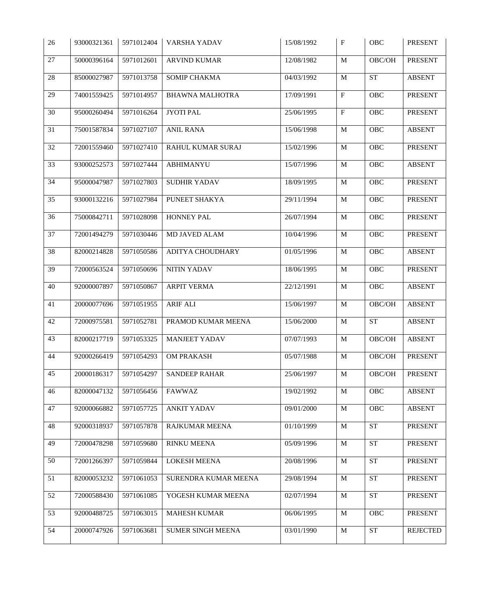| 26              | 93000321361 | 5971012404 | VARSHA YADAV             | 15/08/1992 | $\boldsymbol{\mathrm{F}}$ | OBC                        | <b>PRESENT</b> |
|-----------------|-------------|------------|--------------------------|------------|---------------------------|----------------------------|----------------|
| 27              | 50000396164 | 5971012601 | ARVIND KUMAR             | 12/08/1982 | $\mathbf M$               | $\mathrm{OBC}/\mathrm{OH}$ | <b>PRESENT</b> |
| $28\,$          | 85000027987 | 5971013758 | SOMIP CHAKMA             | 04/03/1992 | $\mathbf M$               | ${\cal S}{\cal T}$         | <b>ABSENT</b>  |
| 29              | 74001559425 | 5971014957 | <b>BHAWNA MALHOTRA</b>   | 17/09/1991 | $\mathbf F$               | OBC                        | PRESENT        |
| $30\,$          | 95000260494 | 5971016264 | JYOTI PAL                | 25/06/1995 | $\overline{\mathrm{F}}$   | OBC                        | PRESENT        |
| 31              | 75001587834 | 5971027107 | <b>ANIL RANA</b>         | 15/06/1998 | $\mathbf M$               | OBC                        | <b>ABSENT</b>  |
| 32              | 72001559460 | 5971027410 | RAHUL KUMAR SURAJ        | 15/02/1996 | $\mathbf M$               | OBC                        | PRESENT        |
| 33              | 93000252573 | 5971027444 | <b>ABHIMANYU</b>         | 15/07/1996 | M                         | OBC                        | ABSENT         |
| 34              | 95000047987 | 5971027803 | SUDHIR YADAV             | 18/09/1995 | $\mathbf M$               | OBC                        | PRESENT        |
| $\overline{35}$ | 93000132216 | 5971027984 | PUNEET SHAKYA            | 29/11/1994 | $\mathbf M$               | OBC                        | <b>PRESENT</b> |
| 36              | 75000842711 | 5971028098 | HONNEY PAL               | 26/07/1994 | $\mathbf M$               | OBC                        | <b>PRESENT</b> |
| 37              | 72001494279 | 5971030446 | MD JAVED ALAM            | 10/04/1996 | M                         | OBC                        | PRESENT        |
| 38              | 82000214828 | 5971050586 | ADITYA CHOUDHARY         | 01/05/1996 | M                         | OBC                        | <b>ABSENT</b>  |
| 39              | 72000563524 | 5971050696 | NITIN YADAV              | 18/06/1995 | M                         | OBC                        | PRESENT        |
| 40              | 92000007897 | 5971050867 | <b>ARPIT VERMA</b>       | 22/12/1991 | M                         | OBC                        | <b>ABSENT</b>  |
| 41              | 20000077696 | 5971051955 | <b>ARIF ALI</b>          | 15/06/1997 | M                         | $\mathrm{OBC}/\mathrm{OH}$ | <b>ABSENT</b>  |
| 42              | 72000975581 | 5971052781 | PRAMOD KUMAR MEENA       | 15/06/2000 | $\mathbf M$               | ${\cal S}{\cal T}$         | <b>ABSENT</b>  |
| 43              | 82000217719 | 5971053325 | <b>MANJEET YADAV</b>     | 07/07/1993 | $\mathbf M$               | $\mathrm{OBC}/\mathrm{OH}$ | <b>ABSENT</b>  |
| 44              | 92000266419 | 5971054293 | <b>OM PRAKASH</b>        | 05/07/1988 | M                         | $\mathrm{OBC}/\mathrm{OH}$ | PRESENT        |
| 45              | 20000186317 | 5971054297 | <b>SANDEEP RAHAR</b>     | 25/06/1997 | M                         | OBC/OH                     | PRESENT        |
| 46              | 82000047132 | 5971056456 | <b>FAWWAZ</b>            | 19/02/1992 | M                         | OBC                        | <b>ABSENT</b>  |
| 47              | 92000066882 | 5971057725 | <b>ANKIT YADAV</b>       | 09/01/2000 | M                         | OBC                        | <b>ABSENT</b>  |
| 48              | 92000318937 | 5971057878 | RAJKUMAR MEENA           | 01/10/1999 | M                         | <b>ST</b>                  | PRESENT        |
| 49              | 72000478298 | 5971059680 | RINKU MEENA              | 05/09/1996 | M                         | <b>ST</b>                  | PRESENT        |
| 50              | 72001266397 | 5971059844 | <b>LOKESH MEENA</b>      | 20/08/1996 | M                         | <b>ST</b>                  | PRESENT        |
| 51              | 82000053232 | 5971061053 | SURENDRA KUMAR MEENA     | 29/08/1994 | M                         | ST                         | PRESENT        |
| 52              | 72000588430 | 5971061085 | YOGESH KUMAR MEENA       | 02/07/1994 | M                         | <b>ST</b>                  | PRESENT        |
| 53              | 92000488725 | 5971063015 | <b>MAHESH KUMAR</b>      | 06/06/1995 | $\mathbf M$               | OBC                        | PRESENT        |
| 54              | 20000747926 | 5971063681 | <b>SUMER SINGH MEENA</b> | 03/01/1990 | M                         | ST                         | REJECTED       |
|                 |             |            |                          |            |                           |                            |                |